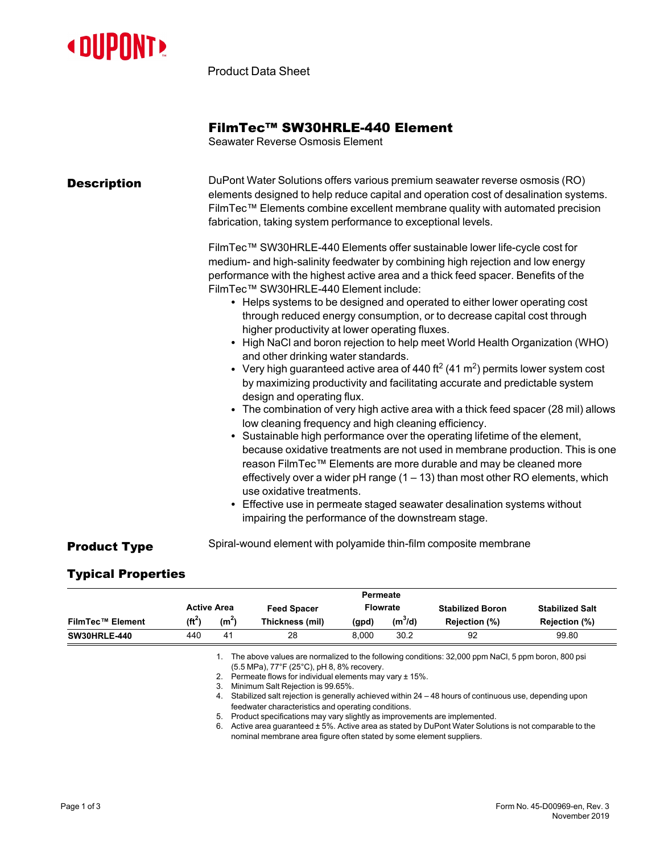

Product Data Sheet

## FilmTec™ SW30HRLE-440 Element

Seawater Reverse Osmosis Element

| <b>Description</b>  | DuPont Water Solutions offers various premium seawater reverse osmosis (RO)<br>elements designed to help reduce capital and operation cost of desalination systems.<br>FilmTec™ Elements combine excellent membrane quality with automated precision<br>fabrication, taking system performance to exceptional levels.<br>FilmTec™ SW30HRLE-440 Elements offer sustainable lower life-cycle cost for<br>medium- and high-salinity feedwater by combining high rejection and low energy<br>performance with the highest active area and a thick feed spacer. Benefits of the<br>FilmTec™ SW30HRLE-440 Element include:<br>• Helps systems to be designed and operated to either lower operating cost<br>through reduced energy consumption, or to decrease capital cost through<br>higher productivity at lower operating fluxes.<br>• High NaCl and boron rejection to help meet World Health Organization (WHO)<br>and other drinking water standards.<br>• Very high guaranteed active area of 440 ft <sup>2</sup> (41 m <sup>2</sup> ) permits lower system cost<br>by maximizing productivity and facilitating accurate and predictable system<br>design and operating flux.<br>• The combination of very high active area with a thick feed spacer (28 mil) allows<br>low cleaning frequency and high cleaning efficiency. |
|---------------------|--------------------------------------------------------------------------------------------------------------------------------------------------------------------------------------------------------------------------------------------------------------------------------------------------------------------------------------------------------------------------------------------------------------------------------------------------------------------------------------------------------------------------------------------------------------------------------------------------------------------------------------------------------------------------------------------------------------------------------------------------------------------------------------------------------------------------------------------------------------------------------------------------------------------------------------------------------------------------------------------------------------------------------------------------------------------------------------------------------------------------------------------------------------------------------------------------------------------------------------------------------------------------------------------------------------------------------|
|                     | • Sustainable high performance over the operating lifetime of the element,<br>because oxidative treatments are not used in membrane production. This is one<br>reason FilmTec™ Elements are more durable and may be cleaned more<br>effectively over a wider $pH$ range (1 – 13) than most other RO elements, which<br>use oxidative treatments.<br>• Effective use in permeate staged seawater desalination systems without<br>impairing the performance of the downstream stage.                                                                                                                                                                                                                                                                                                                                                                                                                                                                                                                                                                                                                                                                                                                                                                                                                                             |
| <b>Product Type</b> | Spiral-wound element with polyamide thin-film composite membrane                                                                                                                                                                                                                                                                                                                                                                                                                                                                                                                                                                                                                                                                                                                                                                                                                                                                                                                                                                                                                                                                                                                                                                                                                                                               |

## Typical Properties

|                         |           |                      |                                                                                                                                                                                                                                                                                                                                                                         | Permeate |                 |                                                                                                                                                                                                                                                                                                                         |                        |
|-------------------------|-----------|----------------------|-------------------------------------------------------------------------------------------------------------------------------------------------------------------------------------------------------------------------------------------------------------------------------------------------------------------------------------------------------------------------|----------|-----------------|-------------------------------------------------------------------------------------------------------------------------------------------------------------------------------------------------------------------------------------------------------------------------------------------------------------------------|------------------------|
|                         |           | <b>Active Area</b>   | <b>Feed Spacer</b>                                                                                                                                                                                                                                                                                                                                                      |          | <b>Flowrate</b> | <b>Stabilized Boron</b>                                                                                                                                                                                                                                                                                                 | <b>Stabilized Salt</b> |
| <b>FilmTec™ Element</b> | $(f t^2)$ | (m <sup>2</sup> )    | Thickness (mil)                                                                                                                                                                                                                                                                                                                                                         | (gpd)    | $(m^3/d)$       | Rejection (%)                                                                                                                                                                                                                                                                                                           | Rejection (%)          |
| <b>SW30HRLE-440</b>     | 440       | 41                   | 28                                                                                                                                                                                                                                                                                                                                                                      | 8.000    | 30.2            | 92                                                                                                                                                                                                                                                                                                                      | 99.80                  |
|                         |           | 3.<br>4.<br>5.<br>6. | $(5.5 \text{ MPa})$ , 77°F (25°C), pH 8, 8% recovery.<br>2. Permeate flows for individual elements may vary $\pm$ 15%.<br>Minimum Salt Rejection is 99.65%.<br>feedwater characteristics and operating conditions.<br>Product specifications may vary slightly as improvements are implemented.<br>nominal membrane area figure often stated by some element suppliers. |          |                 | The above values are normalized to the following conditions: 32,000 ppm NaCl, 5 ppm boron, 800 psi<br>Stabilized salt rejection is generally achieved within $24 - 48$ hours of continuous use, depending upon<br>Active area guaranteed ± 5%. Active area as stated by DuPont Water Solutions is not comparable to the |                        |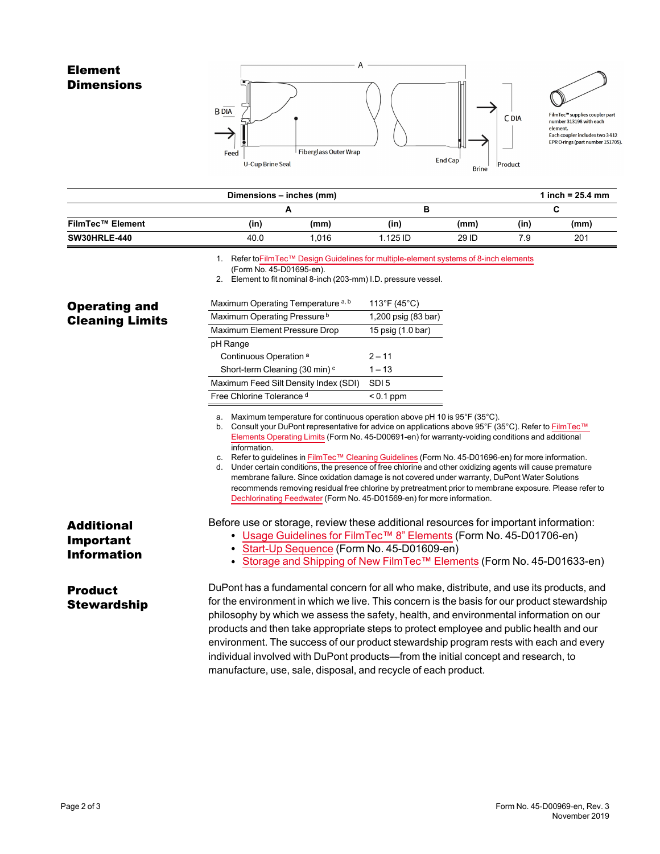

|                     | Dimensions - inches (mm) |       |            |       |      | 1 inch = $25.4$ mm |
|---------------------|--------------------------|-------|------------|-------|------|--------------------|
|                     |                          | -     | в          |       |      |                    |
| FilmTec™ Element    | (in)                     | (mm)  | (in)       | (mm)  | (in) | (mm)               |
| <b>SW30HRLE-440</b> | 40.0                     | 1.016 | $1.125$ ID | 29 ID | 7.9  | 201                |

1. Refer toFilmTec™ Design Guidelines for [multiple-element](https://www.dupont.com/content/dam/dupont/amer/us/en/water-solutions/public/documents/en/RO-NF-FilmTec-Membrane-Sys-Design-Guidelines-8inch-Manual-Exc-45-D01695-en.pdf) systems of 8-inch elements

Product

**Brine** 

U-Cup Brine Seal

2. Element to fit nominal 8-inch (203-mm) I.D. pressure vessel.

| <b>Operating and</b>                                        | Maximum Operating Temperature a, b                             | 113°F (45°C)                                                                                                                                                                                                                                                                                                                                                                                                                                                                                                                                                                                                                                                                                                                                                                                      |
|-------------------------------------------------------------|----------------------------------------------------------------|---------------------------------------------------------------------------------------------------------------------------------------------------------------------------------------------------------------------------------------------------------------------------------------------------------------------------------------------------------------------------------------------------------------------------------------------------------------------------------------------------------------------------------------------------------------------------------------------------------------------------------------------------------------------------------------------------------------------------------------------------------------------------------------------------|
| <b>Cleaning Limits</b>                                      | Maximum Operating Pressure <sup>b</sup>                        | 1,200 psig (83 bar)                                                                                                                                                                                                                                                                                                                                                                                                                                                                                                                                                                                                                                                                                                                                                                               |
|                                                             | Maximum Element Pressure Drop                                  | 15 psig (1.0 bar)                                                                                                                                                                                                                                                                                                                                                                                                                                                                                                                                                                                                                                                                                                                                                                                 |
|                                                             | pH Range                                                       |                                                                                                                                                                                                                                                                                                                                                                                                                                                                                                                                                                                                                                                                                                                                                                                                   |
|                                                             | Continuous Operation <sup>a</sup>                              | $2 - 11$                                                                                                                                                                                                                                                                                                                                                                                                                                                                                                                                                                                                                                                                                                                                                                                          |
|                                                             | Short-term Cleaning (30 min) <sup>c</sup>                      | $1 - 13$                                                                                                                                                                                                                                                                                                                                                                                                                                                                                                                                                                                                                                                                                                                                                                                          |
|                                                             | Maximum Feed Silt Density Index (SDI)                          | SDI <sub>5</sub>                                                                                                                                                                                                                                                                                                                                                                                                                                                                                                                                                                                                                                                                                                                                                                                  |
|                                                             | Free Chlorine Tolerance d                                      | $< 0.1$ ppm                                                                                                                                                                                                                                                                                                                                                                                                                                                                                                                                                                                                                                                                                                                                                                                       |
|                                                             | а.<br>information.                                             | Maximum temperature for continuous operation above pH 10 is 95°F (35°C).<br>b. Consult your DuPont representative for advice on applications above 95°F (35°C). Refer to FilmTec™<br>Elements Operating Limits (Form No. 45-D00691-en) for warranty-voiding conditions and additional<br>c. Refer to guidelines in FilmTec™ Cleaning Guidelines (Form No. 45-D01696-en) for more information.<br>d. Under certain conditions, the presence of free chlorine and other oxidizing agents will cause premature<br>membrane failure. Since oxidation damage is not covered under warranty, DuPont Water Solutions<br>recommends removing residual free chlorine by pretreatment prior to membrane exposure. Please refer to<br>Dechlorinating Feedwater (Form No. 45-D01569-en) for more information. |
| <b>Additional</b><br><b>Important</b><br><b>Information</b> | • Start-Up Sequence (Form No. 45-D01609-en)                    | Before use or storage, review these additional resources for important information:<br>• Usage Guidelines for FilmTec <sup>TM</sup> 8" Elements (Form No. 45-D01706-en)<br>Storage and Shipping of New FilmTec™ Elements (Form No. 45-D01633-en)                                                                                                                                                                                                                                                                                                                                                                                                                                                                                                                                                  |
| <b>Product</b><br><b>Stewardship</b>                        | manufacture, use, sale, disposal, and recycle of each product. | DuPont has a fundamental concern for all who make, distribute, and use its products, and<br>for the environment in which we live. This concern is the basis for our product stewardship<br>philosophy by which we assess the safety, health, and environmental information on our<br>products and then take appropriate steps to protect employee and public health and our<br>environment. The success of our product stewardship program rests with each and every<br>individual involved with DuPont products—from the initial concept and research, to                                                                                                                                                                                                                                        |

<sup>(</sup>Form No. 45-D01695-en).